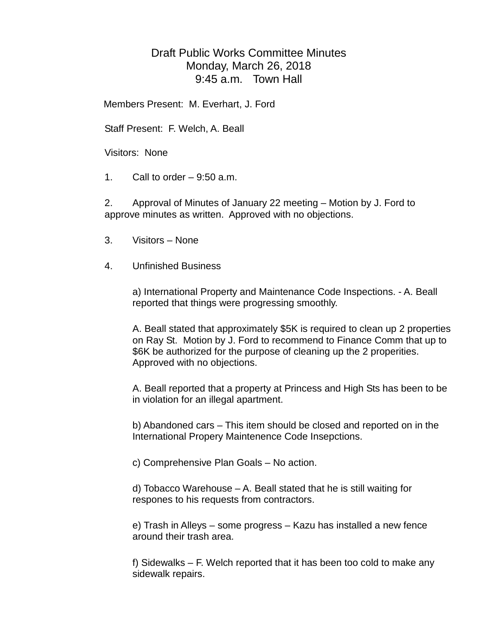## Draft Public Works Committee Minutes Monday, March 26, 2018 9:45 a.m. Town Hall

Members Present: M. Everhart, J. Ford

Staff Present: F. Welch, A. Beall

Visitors: None

1. Call to order  $-9:50$  a.m.

2. Approval of Minutes of January 22 meeting – Motion by J. Ford to approve minutes as written. Approved with no objections.

- 3. Visitors None
- 4. Unfinished Business

a) International Property and Maintenance Code Inspections. - A. Beall reported that things were progressing smoothly.

A. Beall stated that approximately \$5K is required to clean up 2 properties on Ray St. Motion by J. Ford to recommend to Finance Comm that up to \$6K be authorized for the purpose of cleaning up the 2 properities. Approved with no objections.

A. Beall reported that a property at Princess and High Sts has been to be in violation for an illegal apartment.

b) Abandoned cars – This item should be closed and reported on in the International Propery Maintenence Code Insepctions.

c) Comprehensive Plan Goals – No action.

d) Tobacco Warehouse – A. Beall stated that he is still waiting for respones to his requests from contractors.

e) Trash in Alleys – some progress – Kazu has installed a new fence around their trash area.

f) Sidewalks – F. Welch reported that it has been too cold to make any sidewalk repairs.